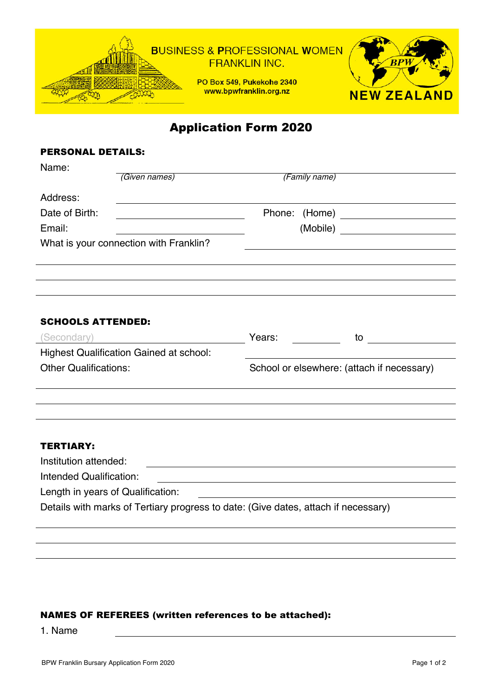

Application Form 2020

## PERSONAL DETAILS:

| Name:                                                                                                                                  |                                            |  |    |
|----------------------------------------------------------------------------------------------------------------------------------------|--------------------------------------------|--|----|
| (Given names)                                                                                                                          | (Family name)                              |  |    |
| Address:                                                                                                                               |                                            |  |    |
| Date of Birth:<br><u> 1980 - Johann Barn, mars ann an t-Amhain Aonaich an t-Aonaich an t-Aonaich ann an t-Aonaich ann an t-Aonaich</u> |                                            |  |    |
| Email:                                                                                                                                 |                                            |  |    |
| What is your connection with Franklin?                                                                                                 |                                            |  |    |
|                                                                                                                                        |                                            |  |    |
|                                                                                                                                        |                                            |  |    |
|                                                                                                                                        |                                            |  |    |
|                                                                                                                                        |                                            |  |    |
| <b>SCHOOLS ATTENDED:</b>                                                                                                               |                                            |  |    |
| (Secondary)                                                                                                                            | Years:                                     |  | to |
| <b>Highest Qualification Gained at school:</b>                                                                                         |                                            |  |    |
| <b>Other Qualifications:</b>                                                                                                           | School or elsewhere: (attach if necessary) |  |    |
|                                                                                                                                        |                                            |  |    |
|                                                                                                                                        |                                            |  |    |
|                                                                                                                                        |                                            |  |    |
|                                                                                                                                        |                                            |  |    |
| <b>TERTIARY:</b>                                                                                                                       |                                            |  |    |
| Institution attended:                                                                                                                  |                                            |  |    |
| Intended Qualification:                                                                                                                |                                            |  |    |
| Length in years of Qualification:                                                                                                      |                                            |  |    |
| Details with marks of Tertiary progress to date: (Give dates, attach if necessary)                                                     |                                            |  |    |
|                                                                                                                                        |                                            |  |    |
|                                                                                                                                        |                                            |  |    |

## NAMES OF REFEREES (written references to be attached):

1. Name